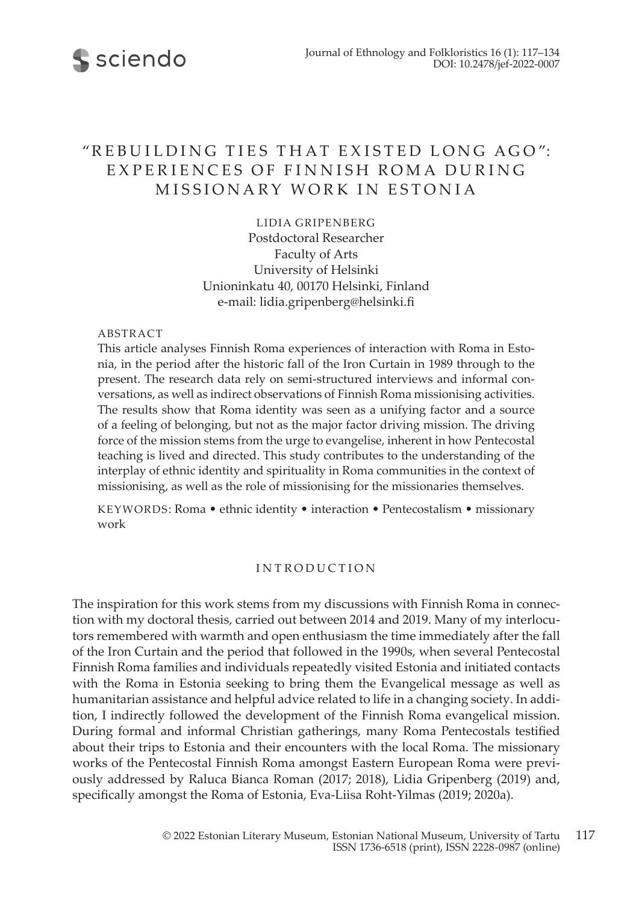

# "REBUILDING TIES THAT EXISTED LONG AGO": EXPERIENCES OF FINNISH ROMA DURING MISSIONARY WORK IN ESTONIA

LIDIA GRIPENBERG Postdoctoral Researcher Faculty of Arts University of Helsinki Unioninkatu 40, 00170 Helsinki, Finland e-mail: lidia.gripenberg@helsinki.fi

#### ABSTRACT

This article analyses Finnish Roma experiences of interaction with Roma in Estonia, in the period after the historic fall of the Iron Curtain in 1989 through to the present. The research data rely on semi-structured interviews and informal conversations, as well as indirect observations of Finnish Roma missionising activities. The results show that Roma identity was seen as a unifying factor and a source of a feeling of belonging, but not as the major factor driving mission. The driving force of the mission stems from the urge to evangelise, inherent in how Pentecostal teaching is lived and directed. This study contributes to the understanding of the interplay of ethnic identity and spirituality in Roma communities in the context of missionising, as well as the role of missionising for the missionaries themselves.

KEYWORDS: Roma • ethnic identity • interaction • Pentecostalism • missionary work

### INTRODUCTION

The inspiration for this work stems from my discussions with Finnish Roma in connection with my doctoral thesis, carried out between 2014 and 2019. Many of my interlocutors remembered with warmth and open enthusiasm the time immediately after the fall of the Iron Curtain and the period that followed in the 1990s, when several Pentecostal Finnish Roma families and individuals repeatedly visited Estonia and initiated contacts with the Roma in Estonia seeking to bring them the Evangelical message as well as humanitarian assistance and helpful advice related to life in a changing society. In addition, I indirectly followed the development of the Finnish Roma evangelical mission. During formal and informal Christian gatherings, many Roma Pentecostals testified about their trips to Estonia and their encounters with the local Roma. The missionary works of the Pentecostal Finnish Roma amongst Eastern European Roma were previously addressed by Raluca Bianca Roman (2017; 2018), Lidia Gripenberg (2019) and, specifically amongst the Roma of Estonia, Eva-Liisa Roht-Yilmas (2019; 2020a).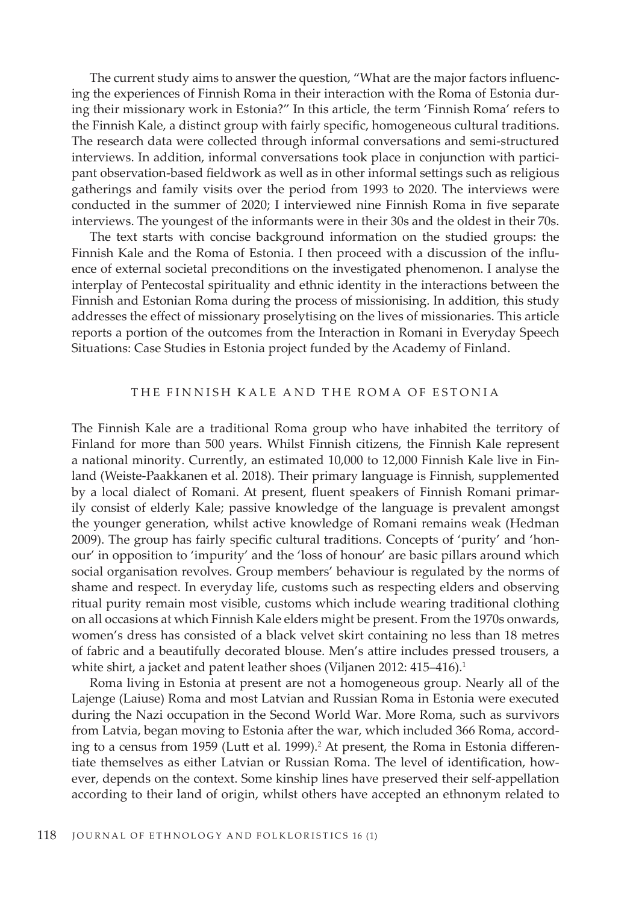The current study aims to answer the question, "What are the major factors influencing the experiences of Finnish Roma in their interaction with the Roma of Estonia during their missionary work in Estonia?" In this article, the term 'Finnish Roma' refers to the Finnish Kale, a distinct group with fairly specific, homogeneous cultural traditions. The research data were collected through informal conversations and semi-structured interviews. In addition, informal conversations took place in conjunction with participant observation-based fieldwork as well as in other informal settings such as religious gatherings and family visits over the period from 1993 to 2020. The interviews were conducted in the summer of 2020; I interviewed nine Finnish Roma in five separate interviews. The youngest of the informants were in their 30s and the oldest in their 70s.

The text starts with concise background information on the studied groups: the Finnish Kale and the Roma of Estonia. I then proceed with a discussion of the influence of external societal preconditions on the investigated phenomenon. I analyse the interplay of Pentecostal spirituality and ethnic identity in the interactions between the Finnish and Estonian Roma during the process of missionising. In addition, this study addresses the effect of missionary proselytising on the lives of missionaries. This article reports a portion of the outcomes from the Interaction in Romani in Everyday Speech Situations: Case Studies in Estonia project funded by the Academy of Finland.

#### THE FINNISH KALE AND THE ROMA OF ESTONIA

The Finnish Kale are a traditional Roma group who have inhabited the territory of Finland for more than 500 years. Whilst Finnish citizens, the Finnish Kale represent a national minority. Currently, an estimated 10,000 to 12,000 Finnish Kale live in Finland (Weiste-Paakkanen et al. 2018). Their primary language is Finnish, supplemented by a local dialect of Romani. At present, fluent speakers of Finnish Romani primarily consist of elderly Kale; passive knowledge of the language is prevalent amongst the younger generation, whilst active knowledge of Romani remains weak (Hedman 2009). The group has fairly specific cultural traditions. Concepts of 'purity' and 'honour' in opposition to 'impurity' and the 'loss of honour' are basic pillars around which social organisation revolves. Group members' behaviour is regulated by the norms of shame and respect. In everyday life, customs such as respecting elders and observing ritual purity remain most visible, customs which include wearing traditional clothing on all occasions at which Finnish Kale elders might be present. From the 1970s onwards, women's dress has consisted of a black velvet skirt containing no less than 18 metres of fabric and a beautifully decorated blouse. Men's attire includes pressed trousers, a white shirt, a jacket and patent leather shoes (Viljanen 2012: 415–416).<sup>1</sup>

Roma living in Estonia at present are not a homogeneous group. Nearly all of the Lajenge (Laiuse) Roma and most Latvian and Russian Roma in Estonia were executed during the Nazi occupation in the Second World War. More Roma, such as survivors from Latvia, began moving to Estonia after the war, which included 366 Roma, according to a census from 1959 (Lutt et al. 1999).<sup>2</sup> At present, the Roma in Estonia differentiate themselves as either Latvian or Russian Roma. The level of identification, however, depends on the context. Some kinship lines have preserved their self-appellation according to their land of origin, whilst others have accepted an ethnonym related to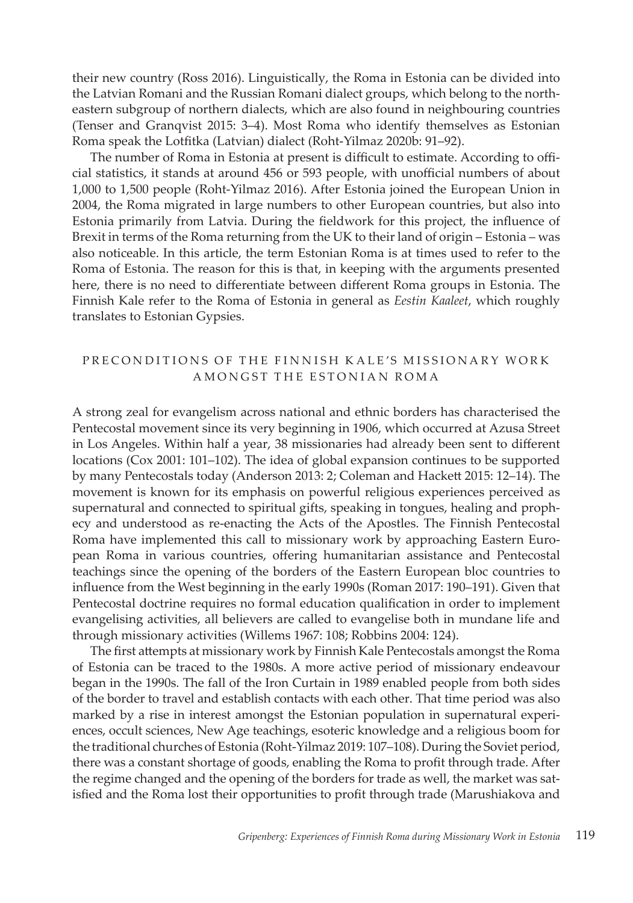their new country (Ross 2016). Linguistically, the Roma in Estonia can be divided into the Latvian Romani and the Russian Romani dialect groups, which belong to the northeastern subgroup of northern dialects, which are also found in neighbouring countries (Tenser and Granqvist 2015: 3–4). Most Roma who identify themselves as Estonian Roma speak the Lotfitka (Latvian) dialect (Roht-Yilmaz 2020b: 91–92).

The number of Roma in Estonia at present is difficult to estimate. According to official statistics, it stands at around 456 or 593 people, with unofficial numbers of about 1,000 to 1,500 people (Roht-Yilmaz 2016). After Estonia joined the European Union in 2004, the Roma migrated in large numbers to other European countries, but also into Estonia primarily from Latvia. During the fieldwork for this project, the influence of Brexit in terms of the Roma returning from the UK to their land of origin – Estonia – was also noticeable. In this article, the term Estonian Roma is at times used to refer to the Roma of Estonia. The reason for this is that, in keeping with the arguments presented here, there is no need to differentiate between different Roma groups in Estonia. The Finnish Kale refer to the Roma of Estonia in general as *Eestin Kaaleet*, which roughly translates to Estonian Gypsies.

## PRECONDITIONS OF THE FINNISH KALE'S MISSIONARY WORK AMONGST THE ESTONIAN ROMA

A strong zeal for evangelism across national and ethnic borders has characterised the Pentecostal movement since its very beginning in 1906, which occurred at Azusa Street in Los Angeles. Within half a year, 38 missionaries had already been sent to different locations (Cox 2001: 101–102). The idea of global expansion continues to be supported by many Pentecostals today (Anderson 2013: 2; Coleman and Hackett 2015: 12–14). The movement is known for its emphasis on powerful religious experiences perceived as supernatural and connected to spiritual gifts, speaking in tongues, healing and prophecy and understood as re-enacting the Acts of the Apostles. The Finnish Pentecostal Roma have implemented this call to missionary work by approaching Eastern European Roma in various countries, offering humanitarian assistance and Pentecostal teachings since the opening of the borders of the Eastern European bloc countries to influence from the West beginning in the early 1990s (Roman 2017: 190–191). Given that Pentecostal doctrine requires no formal education qualification in order to implement evangelising activities, all believers are called to evangelise both in mundane life and through missionary activities (Willems 1967: 108; Robbins 2004: 124).

The first attempts at missionary work by Finnish Kale Pentecostals amongst the Roma of Estonia can be traced to the 1980s. A more active period of missionary endeavour began in the 1990s. The fall of the Iron Curtain in 1989 enabled people from both sides of the border to travel and establish contacts with each other. That time period was also marked by a rise in interest amongst the Estonian population in supernatural experiences, occult sciences, New Age teachings, esoteric knowledge and a religious boom for the traditional churches of Estonia (Roht-Yilmaz 2019: 107–108). During the Soviet period, there was a constant shortage of goods, enabling the Roma to profit through trade. After the regime changed and the opening of the borders for trade as well, the market was satisfied and the Roma lost their opportunities to profit through trade (Marushiakova and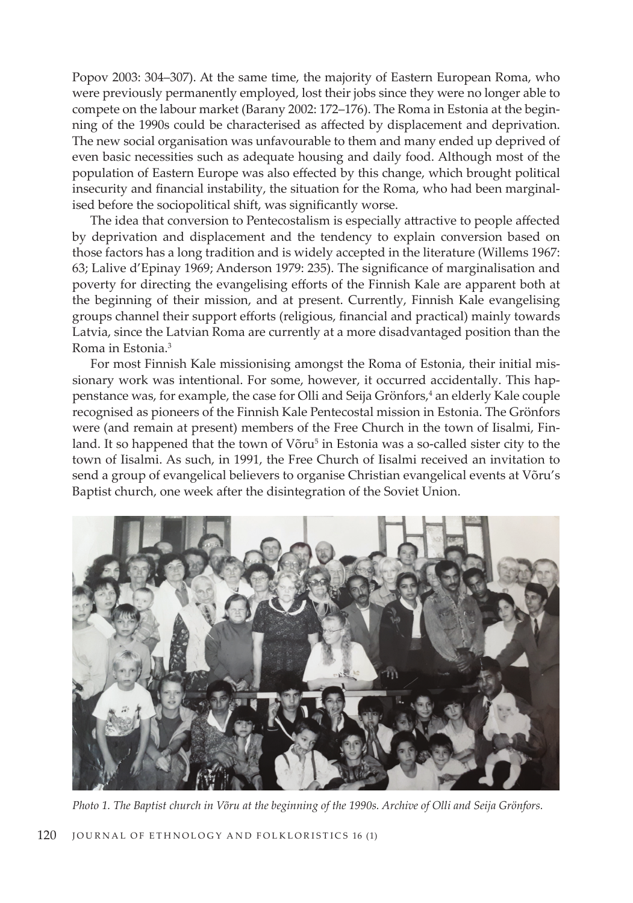Popov 2003: 304–307). At the same time, the majority of Eastern European Roma, who were previously permanently employed, lost their jobs since they were no longer able to compete on the labour market (Barany 2002: 172–176). The Roma in Estonia at the beginning of the 1990s could be characterised as affected by displacement and deprivation. The new social organisation was unfavourable to them and many ended up deprived of even basic necessities such as adequate housing and daily food. Although most of the population of Eastern Europe was also effected by this change, which brought political insecurity and financial instability, the situation for the Roma, who had been marginalised before the sociopolitical shift, was significantly worse.

The idea that conversion to Pentecostalism is especially attractive to people affected by deprivation and displacement and the tendency to explain conversion based on those factors has a long tradition and is widely accepted in the literature (Willems 1967: 63; Lalive d'Epinay 1969; Anderson 1979: 235). The significance of marginalisation and poverty for directing the evangelising efforts of the Finnish Kale are apparent both at the beginning of their mission, and at present. Currently, Finnish Kale evangelising groups channel their support efforts (religious, financial and practical) mainly towards Latvia, since the Latvian Roma are currently at a more disadvantaged position than the Roma in Estonia.3

For most Finnish Kale missionising amongst the Roma of Estonia, their initial missionary work was intentional. For some, however, it occurred accidentally. This happenstance was, for example, the case for Olli and Seija Grönfors,<sup>4</sup> an elderly Kale couple recognised as pioneers of the Finnish Kale Pentecostal mission in Estonia. The Grönfors were (and remain at present) members of the Free Church in the town of Iisalmi, Finland. It so happened that the town of Võru<sup>5</sup> in Estonia was a so-called sister city to the town of Iisalmi. As such, in 1991, the Free Church of Iisalmi received an invitation to send a group of evangelical believers to organise Christian evangelical events at Võru's Baptist church, one week after the disintegration of the Soviet Union.



*Photo 1. The Baptist church in Võru at the beginning of the 1990s. Archive of Olli and Seija Grönfors.*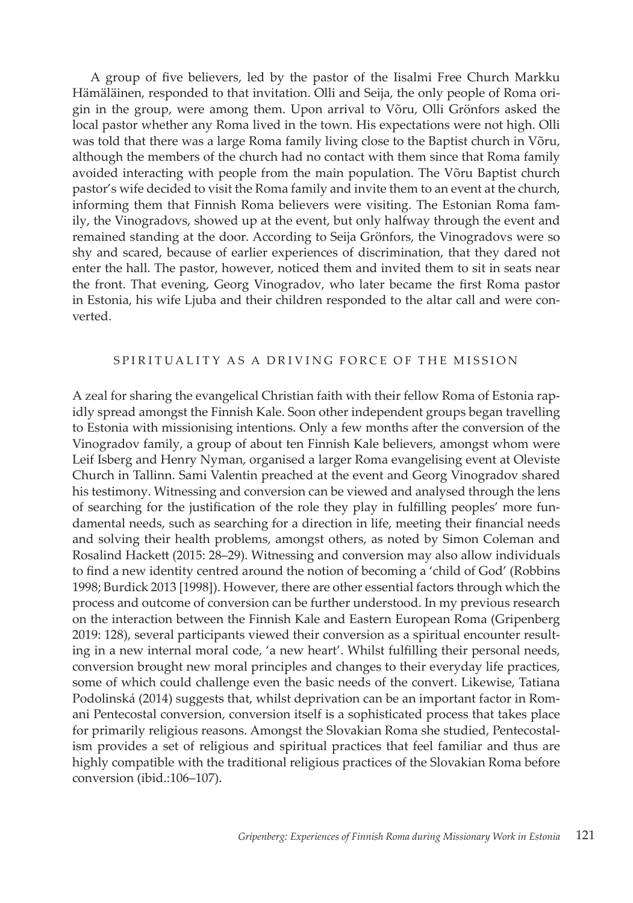A group of five believers, led by the pastor of the Iisalmi Free Church Markku Hämäläinen, responded to that invitation. Olli and Seija, the only people of Roma origin in the group, were among them. Upon arrival to Võru, Olli Grönfors asked the local pastor whether any Roma lived in the town. His expectations were not high. Olli was told that there was a large Roma family living close to the Baptist church in Võru, although the members of the church had no contact with them since that Roma family avoided interacting with people from the main population. The Võru Baptist church pastor's wife decided to visit the Roma family and invite them to an event at the church, informing them that Finnish Roma believers were visiting. The Estonian Roma family, the Vinogradovs, showed up at the event, but only halfway through the event and remained standing at the door. According to Seija Grönfors, the Vinogradovs were so shy and scared, because of earlier experiences of discrimination, that they dared not enter the hall. The pastor, however, noticed them and invited them to sit in seats near the front. That evening, Georg Vinogradov, who later became the first Roma pastor in Estonia, his wife Ljuba and their children responded to the altar call and were converted.

# SPIRITUALITY AS A DRIVING FORCE OF THE MISSION

A zeal for sharing the evangelical Christian faith with their fellow Roma of Estonia rapidly spread amongst the Finnish Kale. Soon other independent groups began travelling to Estonia with missionising intentions. Only a few months after the conversion of the Vinogradov family, a group of about ten Finnish Kale believers, amongst whom were Leif Isberg and Henry Nyman, organised a larger Roma evangelising event at Oleviste Church in Tallinn. Sami Valentin preached at the event and Georg Vinogradov shared his testimony. Witnessing and conversion can be viewed and analysed through the lens of searching for the justification of the role they play in fulfilling peoples' more fundamental needs, such as searching for a direction in life, meeting their financial needs and solving their health problems, amongst others, as noted by Simon Coleman and Rosalind Hackett (2015: 28–29). Witnessing and conversion may also allow individuals to find a new identity centred around the notion of becoming a 'child of God' (Robbins 1998; Burdick 2013 [1998]). However, there are other essential factors through which the process and outcome of conversion can be further understood. In my previous research on the interaction between the Finnish Kale and Eastern European Roma (Gripenberg 2019: 128), several participants viewed their conversion as a spiritual encounter resulting in a new internal moral code, 'a new heart'. Whilst fulfilling their personal needs, conversion brought new moral principles and changes to their everyday life practices, some of which could challenge even the basic needs of the convert. Likewise, Tatiana Podolinská (2014) suggests that, whilst deprivation can be an important factor in Romani Pentecostal conversion, conversion itself is a sophisticated process that takes place for primarily religious reasons. Amongst the Slovakian Roma she studied, Pentecostalism provides a set of religious and spiritual practices that feel familiar and thus are highly compatible with the traditional religious practices of the Slovakian Roma before conversion (ibid.:106–107).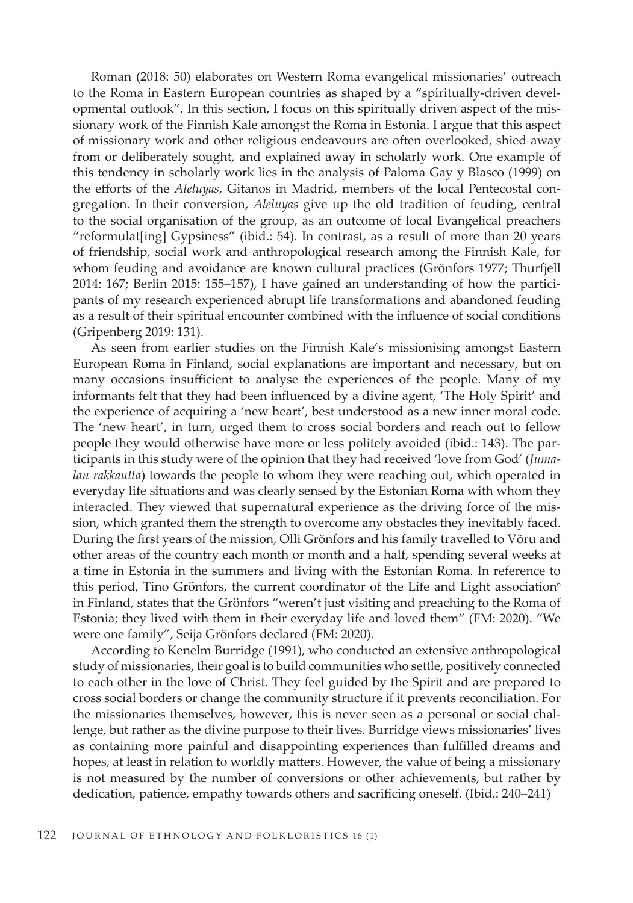Roman (2018: 50) elaborates on Western Roma evangelical missionaries' outreach to the Roma in Eastern European countries as shaped by a "spiritually-driven developmental outlook". In this section, I focus on this spiritually driven aspect of the missionary work of the Finnish Kale amongst the Roma in Estonia. I argue that this aspect of missionary work and other religious endeavours are often overlooked, shied away from or deliberately sought, and explained away in scholarly work. One example of this tendency in scholarly work lies in the analysis of Paloma Gay y Blasco (1999) on the efforts of the *Aleluyas*, Gitanos in Madrid, members of the local Pentecostal congregation. In their conversion, *Aleluyas* give up the old tradition of feuding, central to the social organisation of the group, as an outcome of local Evangelical preachers "reformulat[ing] Gypsiness" (ibid.: 54). In contrast, as a result of more than 20 years of friendship, social work and anthropological research among the Finnish Kale, for whom feuding and avoidance are known cultural practices (Grönfors 1977; Thurfjell 2014: 167; Berlin 2015: 155–157), I have gained an understanding of how the participants of my research experienced abrupt life transformations and abandoned feuding as a result of their spiritual encounter combined with the influence of social conditions (Gripenberg 2019: 131).

As seen from earlier studies on the Finnish Kale's missionising amongst Eastern European Roma in Finland, social explanations are important and necessary, but on many occasions insufficient to analyse the experiences of the people. Many of my informants felt that they had been influenced by a divine agent, 'The Holy Spirit' and the experience of acquiring a 'new heart', best understood as a new inner moral code. The 'new heart', in turn, urged them to cross social borders and reach out to fellow people they would otherwise have more or less politely avoided (ibid.: 143). The participants in this study were of the opinion that they had received 'love from God' (*Jumalan rakkautta*) towards the people to whom they were reaching out, which operated in everyday life situations and was clearly sensed by the Estonian Roma with whom they interacted. They viewed that supernatural experience as the driving force of the mission, which granted them the strength to overcome any obstacles they inevitably faced. During the first years of the mission, Olli Grönfors and his family travelled to Võru and other areas of the country each month or month and a half, spending several weeks at a time in Estonia in the summers and living with the Estonian Roma. In reference to this period, Tino Grönfors, the current coordinator of the Life and Light association<sup>6</sup> in Finland, states that the Grönfors "weren't just visiting and preaching to the Roma of Estonia; they lived with them in their everyday life and loved them" (FM: 2020). "We were one family", Seija Grönfors declared (FM: 2020).

According to Kenelm Burridge (1991), who conducted an extensive anthropological study of missionaries, their goal is to build communities who settle, positively connected to each other in the love of Christ. They feel guided by the Spirit and are prepared to cross social borders or change the community structure if it prevents reconciliation. For the missionaries themselves, however, this is never seen as a personal or social challenge, but rather as the divine purpose to their lives. Burridge views missionaries' lives as containing more painful and disappointing experiences than fulfilled dreams and hopes, at least in relation to worldly matters. However, the value of being a missionary is not measured by the number of conversions or other achievements, but rather by dedication, patience, empathy towards others and sacrificing oneself. (Ibid.: 240–241)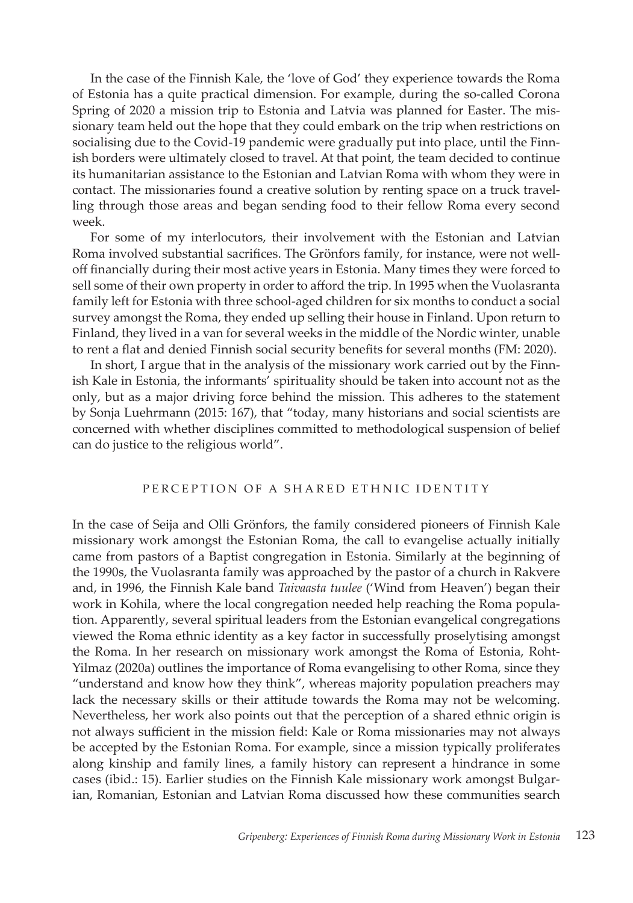In the case of the Finnish Kale, the 'love of God' they experience towards the Roma of Estonia has a quite practical dimension. For example, during the so-called Corona Spring of 2020 a mission trip to Estonia and Latvia was planned for Easter. The missionary team held out the hope that they could embark on the trip when restrictions on socialising due to the Covid-19 pandemic were gradually put into place, until the Finnish borders were ultimately closed to travel. At that point, the team decided to continue its humanitarian assistance to the Estonian and Latvian Roma with whom they were in contact. The missionaries found a creative solution by renting space on a truck travelling through those areas and began sending food to their fellow Roma every second week.

For some of my interlocutors, their involvement with the Estonian and Latvian Roma involved substantial sacrifices. The Grönfors family, for instance, were not welloff financially during their most active years in Estonia. Many times they were forced to sell some of their own property in order to afford the trip. In 1995 when the Vuolasranta family left for Estonia with three school-aged children for six months to conduct a social survey amongst the Roma, they ended up selling their house in Finland. Upon return to Finland, they lived in a van for several weeks in the middle of the Nordic winter, unable to rent a flat and denied Finnish social security benefits for several months (FM: 2020).

In short, I argue that in the analysis of the missionary work carried out by the Finnish Kale in Estonia, the informants' spirituality should be taken into account not as the only, but as a major driving force behind the mission. This adheres to the statement by Sonja Luehrmann (2015: 167), that "today, many historians and social scientists are concerned with whether disciplines committed to methodological suspension of belief can do justice to the religious world".

### PERCEPTION OF A SHARED ETHNIC IDENTITY

In the case of Seija and Olli Grönfors, the family considered pioneers of Finnish Kale missionary work amongst the Estonian Roma, the call to evangelise actually initially came from pastors of a Baptist congregation in Estonia. Similarly at the beginning of the 1990s, the Vuolasranta family was approached by the pastor of a church in Rakvere and, in 1996, the Finnish Kale band *Taivaasta tuulee* ('Wind from Heaven') began their work in Kohila, where the local congregation needed help reaching the Roma population. Apparently, several spiritual leaders from the Estonian evangelical congregations viewed the Roma ethnic identity as a key factor in successfully proselytising amongst the Roma. In her research on missionary work amongst the Roma of Estonia, Roht-Yilmaz (2020a) outlines the importance of Roma evangelising to other Roma, since they "understand and know how they think", whereas majority population preachers may lack the necessary skills or their attitude towards the Roma may not be welcoming. Nevertheless, her work also points out that the perception of a shared ethnic origin is not always sufficient in the mission field: Kale or Roma missionaries may not always be accepted by the Estonian Roma. For example, since a mission typically proliferates along kinship and family lines, a family history can represent a hindrance in some cases (ibid.: 15). Earlier studies on the Finnish Kale missionary work amongst Bulgarian, Romanian, Estonian and Latvian Roma discussed how these communities search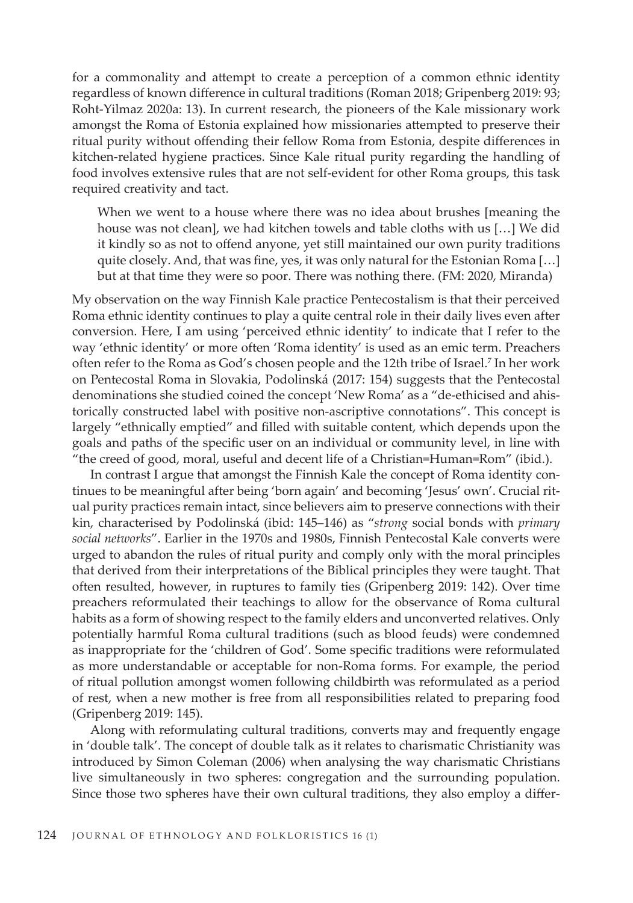for a commonality and attempt to create a perception of a common ethnic identity regardless of known difference in cultural traditions (Roman 2018; Gripenberg 2019: 93; Roht-Yilmaz 2020a: 13). In current research, the pioneers of the Kale missionary work amongst the Roma of Estonia explained how missionaries attempted to preserve their ritual purity without offending their fellow Roma from Estonia, despite differences in kitchen-related hygiene practices. Since Kale ritual purity regarding the handling of food involves extensive rules that are not self-evident for other Roma groups, this task required creativity and tact.

When we went to a house where there was no idea about brushes [meaning the house was not clean], we had kitchen towels and table cloths with us […] We did it kindly so as not to offend anyone, yet still maintained our own purity traditions quite closely. And, that was fine, yes, it was only natural for the Estonian Roma […] but at that time they were so poor. There was nothing there. (FM: 2020, Miranda)

My observation on the way Finnish Kale practice Pentecostalism is that their perceived Roma ethnic identity continues to play a quite central role in their daily lives even after conversion. Here, I am using 'perceived ethnic identity' to indicate that I refer to the way 'ethnic identity' or more often 'Roma identity' is used as an emic term. Preachers often refer to the Roma as God's chosen people and the 12th tribe of Israel.<sup>7</sup> In her work on Pentecostal Roma in Slovakia, Podolinská (2017: 154) suggests that the Pentecostal denominations she studied coined the concept 'New Roma' as a "de-ethicised and ahistorically constructed label with positive non-ascriptive connotations". This concept is largely "ethnically emptied" and filled with suitable content, which depends upon the goals and paths of the specific user on an individual or community level, in line with "the creed of good, moral, useful and decent life of a Christian=Human=Rom" (ibid.).

In contrast I argue that amongst the Finnish Kale the concept of Roma identity continues to be meaningful after being 'born again' and becoming 'Jesus' own'. Crucial ritual purity practices remain intact, since believers aim to preserve connections with their kin, characterised by Podolinská (ibid: 145–146) as "*strong* social bonds with *primary social networks*". Earlier in the 1970s and 1980s, Finnish Pentecostal Kale converts were urged to abandon the rules of ritual purity and comply only with the moral principles that derived from their interpretations of the Biblical principles they were taught. That often resulted, however, in ruptures to family ties (Gripenberg 2019: 142). Over time preachers reformulated their teachings to allow for the observance of Roma cultural habits as a form of showing respect to the family elders and unconverted relatives. Only potentially harmful Roma cultural traditions (such as blood feuds) were condemned as inappropriate for the 'children of God'. Some specific traditions were reformulated as more understandable or acceptable for non-Roma forms. For example, the period of ritual pollution amongst women following childbirth was reformulated as a period of rest, when a new mother is free from all responsibilities related to preparing food (Gripenberg 2019: 145).

Along with reformulating cultural traditions, converts may and frequently engage in 'double talk'. The concept of double talk as it relates to charismatic Christianity was introduced by Simon Coleman (2006) when analysing the way charismatic Christians live simultaneously in two spheres: congregation and the surrounding population. Since those two spheres have their own cultural traditions, they also employ a differ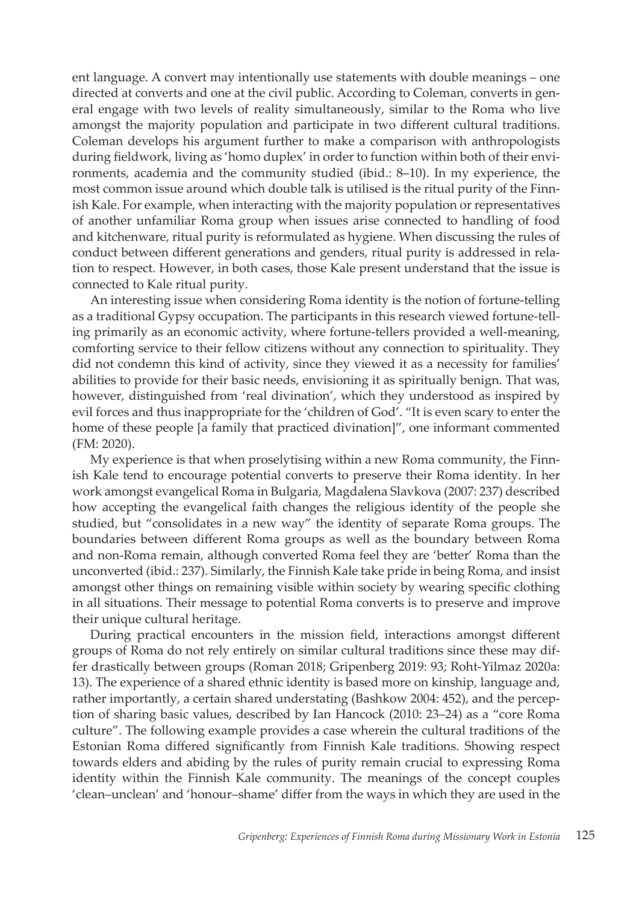ent language. A convert may intentionally use statements with double meanings – one directed at converts and one at the civil public. According to Coleman, converts in general engage with two levels of reality simultaneously, similar to the Roma who live amongst the majority population and participate in two different cultural traditions. Coleman develops his argument further to make a comparison with anthropologists during fieldwork, living as 'homo duplex' in order to function within both of their environments, academia and the community studied (ibid.: 8–10). In my experience, the most common issue around which double talk is utilised is the ritual purity of the Finnish Kale. For example, when interacting with the majority population or representatives of another unfamiliar Roma group when issues arise connected to handling of food and kitchenware, ritual purity is reformulated as hygiene. When discussing the rules of conduct between different generations and genders, ritual purity is addressed in relation to respect. However, in both cases, those Kale present understand that the issue is connected to Kale ritual purity.

An interesting issue when considering Roma identity is the notion of fortune-telling as a traditional Gypsy occupation. The participants in this research viewed fortune-telling primarily as an economic activity, where fortune-tellers provided a well-meaning, comforting service to their fellow citizens without any connection to spirituality. They did not condemn this kind of activity, since they viewed it as a necessity for families' abilities to provide for their basic needs, envisioning it as spiritually benign. That was, however, distinguished from 'real divination', which they understood as inspired by evil forces and thus inappropriate for the 'children of God'. "It is even scary to enter the home of these people [a family that practiced divination]", one informant commented (FM: 2020).

My experience is that when proselytising within a new Roma community, the Finnish Kale tend to encourage potential converts to preserve their Roma identity. In her work amongst evangelical Roma in Bulgaria, Magdalena Slavkova (2007: 237) described how accepting the evangelical faith changes the religious identity of the people she studied, but "consolidates in a new way" the identity of separate Roma groups. The boundaries between different Roma groups as well as the boundary between Roma and non-Roma remain, although converted Roma feel they are 'better' Roma than the unconverted (ibid.: 237). Similarly, the Finnish Kale take pride in being Roma, and insist amongst other things on remaining visible within society by wearing specific clothing in all situations. Their message to potential Roma converts is to preserve and improve their unique cultural heritage.

During practical encounters in the mission field, interactions amongst different groups of Roma do not rely entirely on similar cultural traditions since these may differ drastically between groups (Roman 2018; Gripenberg 2019: 93; Roht-Yilmaz 2020a: 13). The experience of a shared ethnic identity is based more on kinship, language and, rather importantly, a certain shared understating (Bashkow 2004: 452), and the perception of sharing basic values, described by Ian Hancock (2010: 23–24) as a "core Roma culture". The following example provides a case wherein the cultural traditions of the Estonian Roma differed significantly from Finnish Kale traditions. Showing respect towards elders and abiding by the rules of purity remain crucial to expressing Roma identity within the Finnish Kale community. The meanings of the concept couples 'clean–unclean' and 'honour–shame' differ from the ways in which they are used in the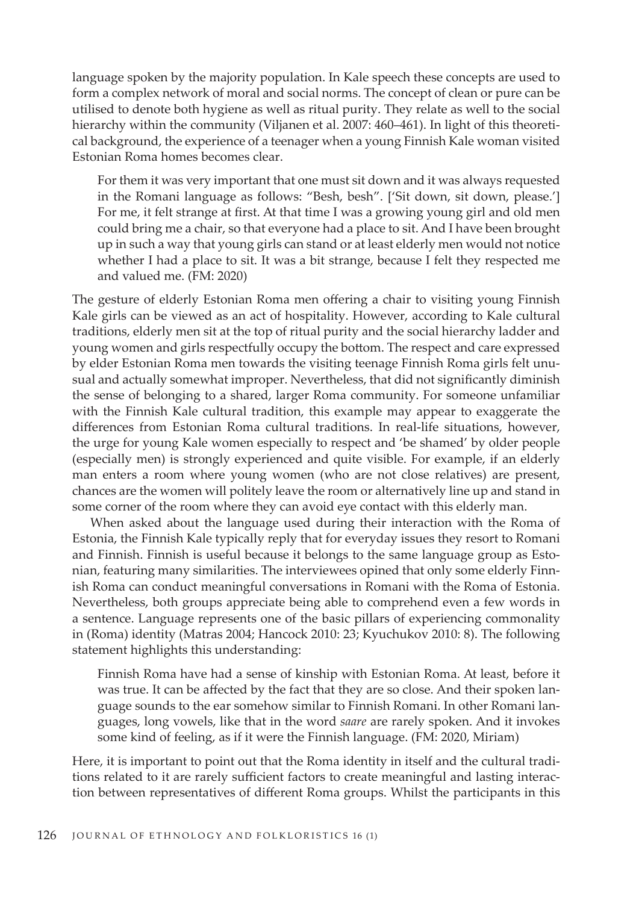language spoken by the majority population. In Kale speech these concepts are used to form a complex network of moral and social norms. The concept of clean or pure can be utilised to denote both hygiene as well as ritual purity. They relate as well to the social hierarchy within the community (Viljanen et al. 2007: 460–461). In light of this theoretical background, the experience of a teenager when a young Finnish Kale woman visited Estonian Roma homes becomes clear.

For them it was very important that one must sit down and it was always requested in the Romani language as follows: "Besh, besh". ['Sit down, sit down, please.'] For me, it felt strange at first. At that time I was a growing young girl and old men could bring me a chair, so that everyone had a place to sit. And I have been brought up in such a way that young girls can stand or at least elderly men would not notice whether I had a place to sit. It was a bit strange, because I felt they respected me and valued me. (FM: 2020)

The gesture of elderly Estonian Roma men offering a chair to visiting young Finnish Kale girls can be viewed as an act of hospitality. However, according to Kale cultural traditions, elderly men sit at the top of ritual purity and the social hierarchy ladder and young women and girls respectfully occupy the bottom. The respect and care expressed by elder Estonian Roma men towards the visiting teenage Finnish Roma girls felt unusual and actually somewhat improper. Nevertheless, that did not significantly diminish the sense of belonging to a shared, larger Roma community. For someone unfamiliar with the Finnish Kale cultural tradition, this example may appear to exaggerate the differences from Estonian Roma cultural traditions. In real-life situations, however, the urge for young Kale women especially to respect and 'be shamed' by older people (especially men) is strongly experienced and quite visible. For example, if an elderly man enters a room where young women (who are not close relatives) are present, chances are the women will politely leave the room or alternatively line up and stand in some corner of the room where they can avoid eye contact with this elderly man.

When asked about the language used during their interaction with the Roma of Estonia, the Finnish Kale typically reply that for everyday issues they resort to Romani and Finnish. Finnish is useful because it belongs to the same language group as Estonian, featuring many similarities. The interviewees opined that only some elderly Finnish Roma can conduct meaningful conversations in Romani with the Roma of Estonia. Nevertheless, both groups appreciate being able to comprehend even a few words in a sentence. Language represents one of the basic pillars of experiencing commonality in (Roma) identity (Matras 2004; Hancock 2010: 23; Kyuchukov 2010: 8). The following statement highlights this understanding:

Finnish Roma have had a sense of kinship with Estonian Roma. At least, before it was true. It can be affected by the fact that they are so close. And their spoken language sounds to the ear somehow similar to Finnish Romani. In other Romani languages, long vowels, like that in the word *saare* are rarely spoken. And it invokes some kind of feeling, as if it were the Finnish language. (FM: 2020, Miriam)

Here, it is important to point out that the Roma identity in itself and the cultural traditions related to it are rarely sufficient factors to create meaningful and lasting interaction between representatives of different Roma groups. Whilst the participants in this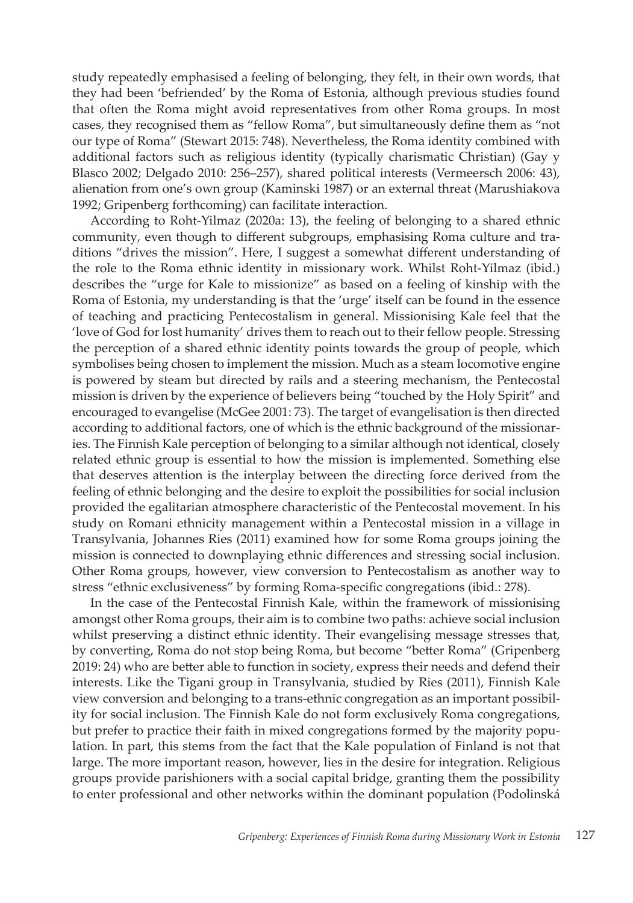study repeatedly emphasised a feeling of belonging, they felt, in their own words, that they had been 'befriended' by the Roma of Estonia, although previous studies found that often the Roma might avoid representatives from other Roma groups. In most cases, they recognised them as "fellow Roma", but simultaneously define them as "not our type of Roma" (Stewart 2015: 748). Nevertheless, the Roma identity combined with additional factors such as religious identity (typically charismatic Christian) (Gay y Blasco 2002; Delgado 2010: 256–257), shared political interests (Vermeersch 2006: 43), alienation from one's own group (Kaminski 1987) or an external threat (Marushiakova 1992; Gripenberg forthcoming) can facilitate interaction.

According to Roht-Yilmaz (2020a: 13), the feeling of belonging to a shared ethnic community, even though to different subgroups, emphasising Roma culture and traditions "drives the mission". Here, I suggest a somewhat different understanding of the role to the Roma ethnic identity in missionary work. Whilst Roht-Yilmaz (ibid.) describes the "urge for Kale to missionize" as based on a feeling of kinship with the Roma of Estonia, my understanding is that the 'urge' itself can be found in the essence of teaching and practicing Pentecostalism in general. Missionising Kale feel that the 'love of God for lost humanity' drives them to reach out to their fellow people. Stressing the perception of a shared ethnic identity points towards the group of people, which symbolises being chosen to implement the mission. Much as a steam locomotive engine is powered by steam but directed by rails and a steering mechanism, the Pentecostal mission is driven by the experience of believers being "touched by the Holy Spirit" and encouraged to evangelise (McGee 2001: 73). The target of evangelisation is then directed according to additional factors, one of which is the ethnic background of the missionaries. The Finnish Kale perception of belonging to a similar although not identical, closely related ethnic group is essential to how the mission is implemented. Something else that deserves attention is the interplay between the directing force derived from the feeling of ethnic belonging and the desire to exploit the possibilities for social inclusion provided the egalitarian atmosphere characteristic of the Pentecostal movement. In his study on Romani ethnicity management within a Pentecostal mission in a village in Transylvania, Johannes Ries (2011) examined how for some Roma groups joining the mission is connected to downplaying ethnic differences and stressing social inclusion. Other Roma groups, however, view conversion to Pentecostalism as another way to stress "ethnic exclusiveness" by forming Roma-specific congregations (ibid.: 278).

In the case of the Pentecostal Finnish Kale, within the framework of missionising amongst other Roma groups, their aim is to combine two paths: achieve social inclusion whilst preserving a distinct ethnic identity. Their evangelising message stresses that, by converting, Roma do not stop being Roma, but become "better Roma" (Gripenberg 2019: 24) who are better able to function in society, express their needs and defend their interests. Like the Tigani group in Transylvania, studied by Ries (2011), Finnish Kale view conversion and belonging to a trans-ethnic congregation as an important possibility for social inclusion. The Finnish Kale do not form exclusively Roma congregations, but prefer to practice their faith in mixed congregations formed by the majority population. In part, this stems from the fact that the Kale population of Finland is not that large. The more important reason, however, lies in the desire for integration. Religious groups provide parishioners with a social capital bridge, granting them the possibility to enter professional and other networks within the dominant population (Podolinská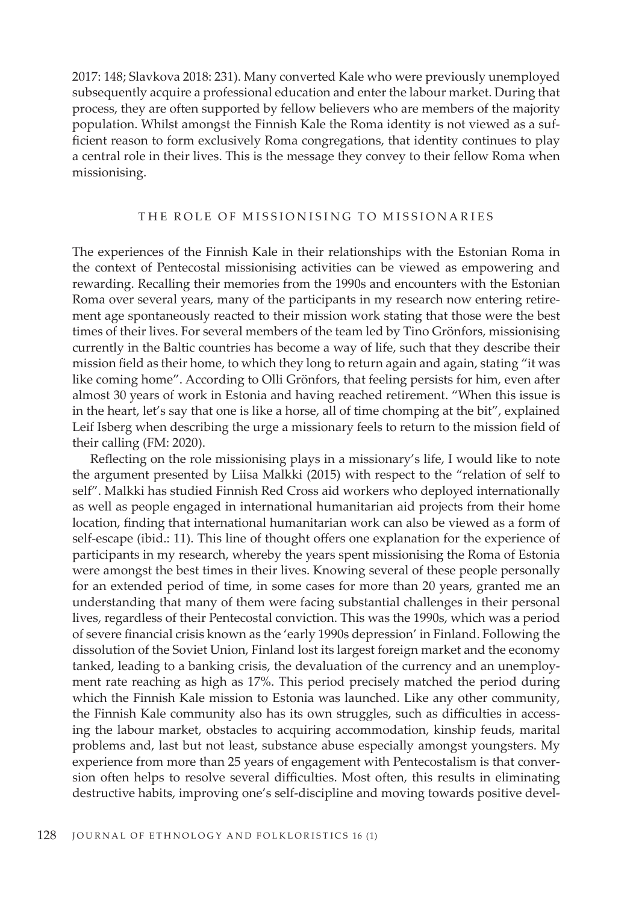2017: 148; Slavkova 2018: 231). Many converted Kale who were previously unemployed subsequently acquire a professional education and enter the labour market. During that process, they are often supported by fellow believers who are members of the majority population. Whilst amongst the Finnish Kale the Roma identity is not viewed as a sufficient reason to form exclusively Roma congregations, that identity continues to play a central role in their lives. This is the message they convey to their fellow Roma when missionising.

#### THE ROLE OF MISSIONISING TO MISSIONARIES

The experiences of the Finnish Kale in their relationships with the Estonian Roma in the context of Pentecostal missionising activities can be viewed as empowering and rewarding. Recalling their memories from the 1990s and encounters with the Estonian Roma over several years, many of the participants in my research now entering retirement age spontaneously reacted to their mission work stating that those were the best times of their lives. For several members of the team led by Tino Grönfors, missionising currently in the Baltic countries has become a way of life, such that they describe their mission field as their home, to which they long to return again and again, stating "it was like coming home". According to Olli Grönfors, that feeling persists for him, even after almost 30 years of work in Estonia and having reached retirement. "When this issue is in the heart, let's say that one is like a horse, all of time chomping at the bit", explained Leif Isberg when describing the urge a missionary feels to return to the mission field of their calling (FM: 2020).

Reflecting on the role missionising plays in a missionary's life, I would like to note the argument presented by Liisa Malkki (2015) with respect to the "relation of self to self". Malkki has studied Finnish Red Cross aid workers who deployed internationally as well as people engaged in international humanitarian aid projects from their home location, finding that international humanitarian work can also be viewed as a form of self-escape (ibid.: 11). This line of thought offers one explanation for the experience of participants in my research, whereby the years spent missionising the Roma of Estonia were amongst the best times in their lives. Knowing several of these people personally for an extended period of time, in some cases for more than 20 years, granted me an understanding that many of them were facing substantial challenges in their personal lives, regardless of their Pentecostal conviction. This was the 1990s, which was a period of severe financial crisis known as the 'early 1990s depression' in Finland. Following the dissolution of the Soviet Union, Finland lost its largest foreign market and the economy tanked, leading to a banking crisis, the devaluation of the currency and an unemployment rate reaching as high as 17%. This period precisely matched the period during which the Finnish Kale mission to Estonia was launched. Like any other community, the Finnish Kale community also has its own struggles, such as difficulties in accessing the labour market, obstacles to acquiring accommodation, kinship feuds, marital problems and, last but not least, substance abuse especially amongst youngsters. My experience from more than 25 years of engagement with Pentecostalism is that conversion often helps to resolve several difficulties. Most often, this results in eliminating destructive habits, improving one's self-discipline and moving towards positive devel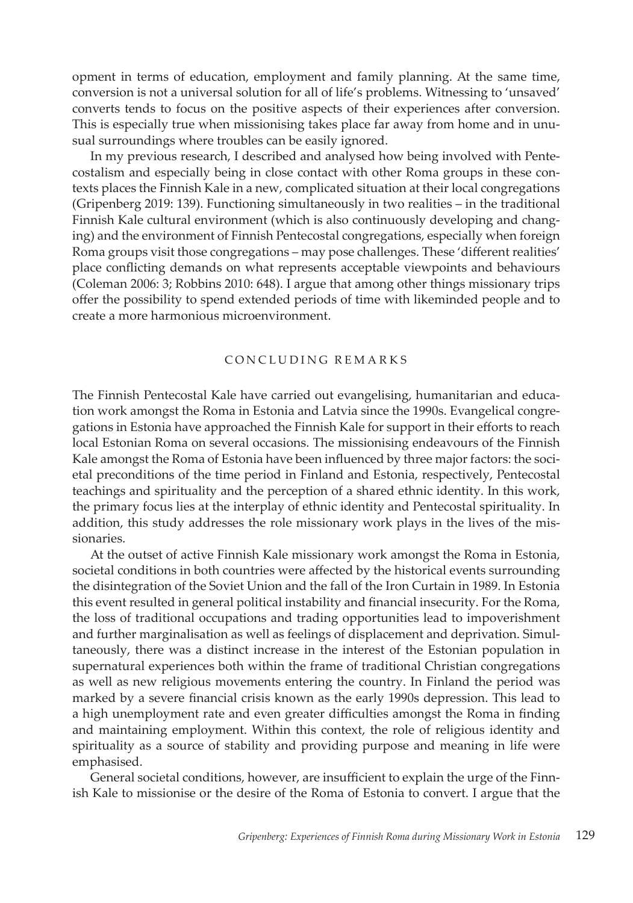opment in terms of education, employment and family planning. At the same time, conversion is not a universal solution for all of life's problems. Witnessing to 'unsaved' converts tends to focus on the positive aspects of their experiences after conversion. This is especially true when missionising takes place far away from home and in unusual surroundings where troubles can be easily ignored.

In my previous research, I described and analysed how being involved with Pentecostalism and especially being in close contact with other Roma groups in these contexts places the Finnish Kale in a new, complicated situation at their local congregations (Gripenberg 2019: 139). Functioning simultaneously in two realities – in the traditional Finnish Kale cultural environment (which is also continuously developing and changing) and the environment of Finnish Pentecostal congregations, especially when foreign Roma groups visit those congregations – may pose challenges. These 'different realities' place conflicting demands on what represents acceptable viewpoints and behaviours (Coleman 2006: 3; Robbins 2010: 648). I argue that among other things missionary trips offer the possibility to spend extended periods of time with likeminded people and to create a more harmonious microenvironment.

# CONCLUDING REMARKS

The Finnish Pentecostal Kale have carried out evangelising, humanitarian and education work amongst the Roma in Estonia and Latvia since the 1990s. Evangelical congregations in Estonia have approached the Finnish Kale for support in their efforts to reach local Estonian Roma on several occasions. The missionising endeavours of the Finnish Kale amongst the Roma of Estonia have been influenced by three major factors: the societal preconditions of the time period in Finland and Estonia, respectively, Pentecostal teachings and spirituality and the perception of a shared ethnic identity. In this work, the primary focus lies at the interplay of ethnic identity and Pentecostal spirituality. In addition, this study addresses the role missionary work plays in the lives of the missionaries.

At the outset of active Finnish Kale missionary work amongst the Roma in Estonia, societal conditions in both countries were affected by the historical events surrounding the disintegration of the Soviet Union and the fall of the Iron Curtain in 1989. In Estonia this event resulted in general political instability and financial insecurity. For the Roma, the loss of traditional occupations and trading opportunities lead to impoverishment and further marginalisation as well as feelings of displacement and deprivation. Simultaneously, there was a distinct increase in the interest of the Estonian population in supernatural experiences both within the frame of traditional Christian congregations as well as new religious movements entering the country. In Finland the period was marked by a severe financial crisis known as the early 1990s depression. This lead to a high unemployment rate and even greater difficulties amongst the Roma in finding and maintaining employment. Within this context, the role of religious identity and spirituality as a source of stability and providing purpose and meaning in life were emphasised.

General societal conditions, however, are insufficient to explain the urge of the Finnish Kale to missionise or the desire of the Roma of Estonia to convert. I argue that the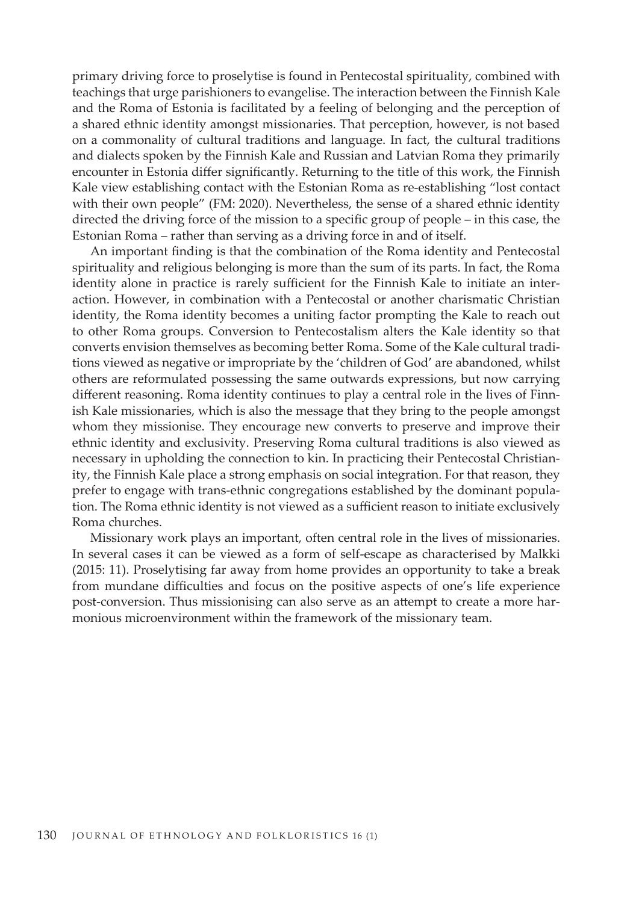primary driving force to proselytise is found in Pentecostal spirituality, combined with teachings that urge parishioners to evangelise. The interaction between the Finnish Kale and the Roma of Estonia is facilitated by a feeling of belonging and the perception of a shared ethnic identity amongst missionaries. That perception, however, is not based on a commonality of cultural traditions and language. In fact, the cultural traditions and dialects spoken by the Finnish Kale and Russian and Latvian Roma they primarily encounter in Estonia differ significantly. Returning to the title of this work, the Finnish Kale view establishing contact with the Estonian Roma as re-establishing "lost contact with their own people" (FM: 2020). Nevertheless, the sense of a shared ethnic identity directed the driving force of the mission to a specific group of people – in this case, the Estonian Roma – rather than serving as a driving force in and of itself.

An important finding is that the combination of the Roma identity and Pentecostal spirituality and religious belonging is more than the sum of its parts. In fact, the Roma identity alone in practice is rarely sufficient for the Finnish Kale to initiate an interaction. However, in combination with a Pentecostal or another charismatic Christian identity, the Roma identity becomes a uniting factor prompting the Kale to reach out to other Roma groups. Conversion to Pentecostalism alters the Kale identity so that converts envision themselves as becoming better Roma. Some of the Kale cultural traditions viewed as negative or impropriate by the 'children of God' are abandoned, whilst others are reformulated possessing the same outwards expressions, but now carrying different reasoning. Roma identity continues to play a central role in the lives of Finnish Kale missionaries, which is also the message that they bring to the people amongst whom they missionise. They encourage new converts to preserve and improve their ethnic identity and exclusivity. Preserving Roma cultural traditions is also viewed as necessary in upholding the connection to kin. In practicing their Pentecostal Christianity, the Finnish Kale place a strong emphasis on social integration. For that reason, they prefer to engage with trans-ethnic congregations established by the dominant population. The Roma ethnic identity is not viewed as a sufficient reason to initiate exclusively Roma churches.

Missionary work plays an important, often central role in the lives of missionaries. In several cases it can be viewed as a form of self-escape as characterised by Malkki (2015: 11). Proselytising far away from home provides an opportunity to take a break from mundane difficulties and focus on the positive aspects of one's life experience post-conversion. Thus missionising can also serve as an attempt to create a more harmonious microenvironment within the framework of the missionary team.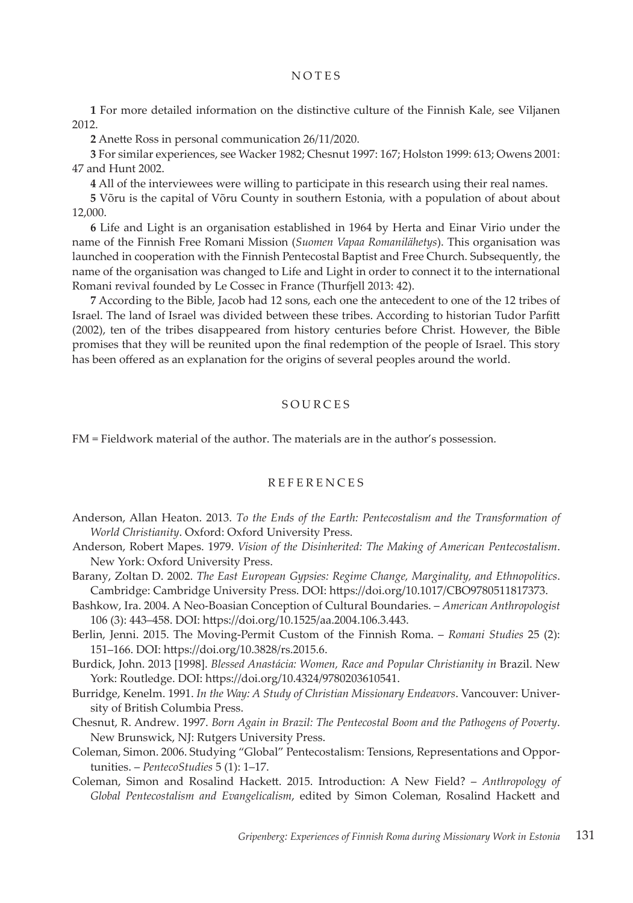#### NOTES

**1** For more detailed information on the distinctive culture of the Finnish Kale, see Viljanen 2012.

**2** Anette Ross in personal communication 26/11/2020.

**3** For similar experiences, see Wacker 1982; Chesnut 1997: 167; Holston 1999: 613; Owens 2001: 47 and Hunt 2002.

**4** All of the interviewees were willing to participate in this research using their real names.

**5** Võru is the capital of Võru County in southern Estonia, with a population of about about 12,000.

**6** Life and Light is an organisation established in 1964 by Herta and Einar Virio under the name of the Finnish Free Romani Mission (*Suomen Vapaa Romanilähetys*). This organisation was launched in cooperation with the Finnish Pentecostal Baptist and Free Church. Subsequently, the name of the organisation was changed to Life and Light in order to connect it to the international Romani revival founded by Le Cossec in France (Thurfjell 2013: 42).

**7** According to the Bible, Jacob had 12 sons, each one the antecedent to one of the 12 tribes of Israel. The land of Israel was divided between these tribes. According to historian Tudor Parfitt (2002), ten of the tribes disappeared from history centuries before Christ. However, the Bible promises that they will be reunited upon the final redemption of the people of Israel. This story has been offered as an explanation for the origins of several peoples around the world.

### SOURCES

FM = Fieldwork material of the author. The materials are in the author's possession.

## REFERENCES

- Anderson, Allan Heaton. 2013. *To the Ends of the Earth: Pentecostalism and the Transformation of World Christianity*. Oxford: Oxford University Press.
- Anderson, Robert Mapes. 1979. *Vision of the Disinherited: The Making of American Pentecostalism*. New York: Oxford University Press.
- Barany, Zoltan D. 2002. *The East European Gypsies: Regime Change, Marginality, and Ethnopolitics*. Cambridge: Cambridge University Press. DOI: https://doi.org/10.1017/CBO9780511817373.
- Bashkow, Ira. 2004. A Neo-Boasian Conception of Cultural Boundaries. *American Anthropologist* 106 (3): 443–458. DOI: https://doi.org/10.1525/aa.2004.106.3.443.
- Berlin, Jenni. 2015. The Moving-Permit Custom of the Finnish Roma. *Romani Studies* 25 (2): 151–166. DOI: https://doi.org/10.3828/rs.2015.6.
- Burdick, John. 2013 [1998]. *Blessed Anastácia: Women, Race and Popular Christianity in* Brazil. New York: Routledge. DOI: https://doi.org/10.4324/9780203610541.
- Burridge, Kenelm. 1991. *In the Way: A Study of Christian Missionary Endeavors*. Vancouver: University of British Columbia Press.
- Chesnut, R. Andrew. 1997. *Born Again in Brazil: The Pentecostal Boom and the Pathogens of Poverty*. New Brunswick, NJ: Rutgers University Press.
- Coleman, Simon. 2006. Studying "Global" Pentecostalism: Tensions, Representations and Opportunities. – *PentecoStudies* 5 (1): 1–17.
- Coleman, Simon and Rosalind Hackett. 2015. Introduction: A New Field? *Anthropology of Global Pentecostalism and Evangelicalism*, edited by Simon Coleman, Rosalind Hackett and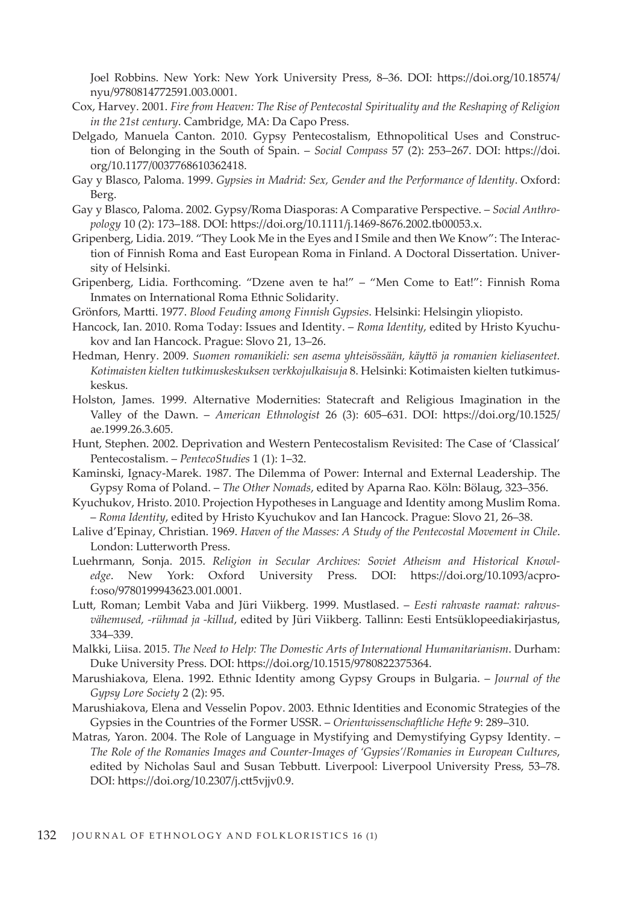Joel Robbins. New York: New York University Press, 8–36. DOI: https://doi.org/10.18574/ nyu/9780814772591.003.0001.

- Cox, Harvey. 2001. *Fire from Heaven: The Rise of Pentecostal Spirituality and the Reshaping of Religion in the 21st century*. Cambridge, MA: Da Capo Press.
- Delgado, Manuela Canton. 2010. Gypsy Pentecostalism, Ethnopolitical Uses and Construction of Belonging in the South of Spain. – *Social Compass* 57 (2): 253–267. DOI: https://doi. org/10.1177/0037768610362418.
- Gay y Blasco, Paloma. 1999. *Gypsies in Madrid: Sex, Gender and the Performance of Identity*. Oxford: Berg.
- Gay y Blasco, Paloma. 2002. Gypsy/Roma Diasporas: A Comparative Perspective. *Social Anthropology* 10 (2): 173–188. DOI: https://doi.org/10.1111/j.1469-8676.2002.tb00053.x.
- Gripenberg, Lidia. 2019. "They Look Me in the Eyes and I Smile and then We Know": The Interaction of Finnish Roma and East European Roma in Finland. A Doctoral Dissertation. University of Helsinki.
- Gripenberg, Lidia. Forthcoming. "Dzene aven te ha!" "Men Come to Eat!": Finnish Roma Inmates on International Roma Ethnic Solidarity.
- Grönfors, Martti. 1977. *Blood Feuding among Finnish Gypsies*. Helsinki: Helsingin yliopisto.
- Hancock, Ian. 2010. Roma Today: Issues and Identity. *Roma Identity*, edited by Hristo Kyuchukov and Ian Hancock. Prague: Slovo 21, 13–26.
- Hedman, Henry. 2009. *Suomen romanikieli: sen asema yhteisössään, käyttö ja romanien kieliasenteet. Kotimaisten kielten tutkimuskeskuksen verkkojulkaisuja* 8. Helsinki: Kotimaisten kielten tutkimuskeskus.
- Holston, James. 1999. Alternative Modernities: Statecraft and Religious Imagination in the Valley of the Dawn. – *American Ethnologist* 26 (3): 605–631. DOI: https://doi.org/10.1525/ ae.1999.26.3.605.
- Hunt, Stephen. 2002. Deprivation and Western Pentecostalism Revisited: The Case of 'Classical' Pentecostalism. – *PentecoStudies* 1 (1): 1–32.
- Kaminski, Ignacy-Marek. 1987. The Dilemma of Power: Internal and External Leadership. The Gypsy Roma of Poland. – *The Other Nomads*, edited by Aparna Rao. Köln: Bölaug, 323–356.
- Kyuchukov, Hristo. 2010. Projection Hypotheses in Language and Identity among Muslim Roma. – *Roma Identity*, edited by Hristo Kyuchukov and Ian Hancock. Prague: Slovo 21, 26–38.
- Lalive d'Epinay, Christian. 1969. *Haven of the Masses: A Study of the Pentecostal Movement in Chile*. London: Lutterworth Press.
- Luehrmann, Sonja. 2015. *Religion in Secular Archives: Soviet Atheism and Historical Knowledge*. New York: Oxford University Press. DOI: https://doi.org/10.1093/acprof:oso/9780199943623.001.0001.
- Lutt, Roman; Lembit Vaba and Jüri Viikberg. 1999. Mustlased. *Eesti rahvaste raamat: rahvusvähemused, -rühmad ja -killud*, edited by Jüri Viikberg. Tallinn: Eesti Entsüklopeediakirjastus, 334–339.
- Malkki, Liisa. 2015. *The Need to Help: The Domestic Arts of International Humanitarianism*. Durham: Duke University Press. DOI: https://doi.org/10.1515/9780822375364.
- Marushiakova, Elena. 1992. Ethnic Identity among Gypsy Groups in Bulgaria. *Journal of the Gypsy Lore Society* 2 (2): 95.
- Marushiakova, Elena and Vesselin Popov. 2003. Ethnic Identities and Economic Strategies of the Gypsies in the Countries of the Former USSR. – *Orientwissenschaftliche Hefte* 9: 289–310.
- Matras, Yaron. 2004. The Role of Language in Mystifying and Demystifying Gypsy Identity. *The Role of the Romanies Images and Counter-Images of 'Gypsies'/Romanies in European Cultures*, edited by Nicholas Saul and Susan Tebbutt. Liverpool: Liverpool University Press, 53–78. DOI: https://doi.org/10.2307/j.ctt5vjjv0.9.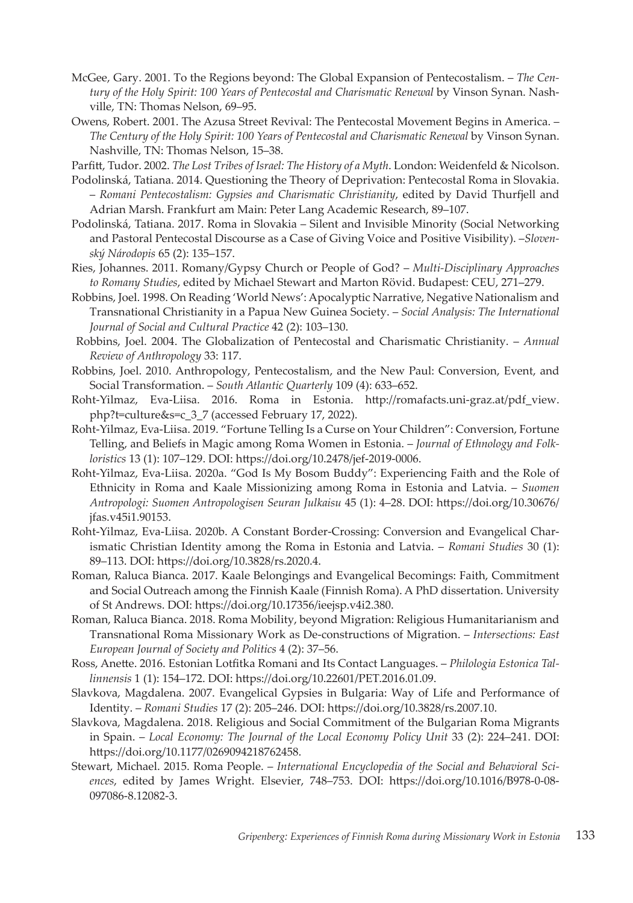- McGee, Gary. 2001. To the Regions beyond: The Global Expansion of Pentecostalism. *The Century of the Holy Spirit: 100 Years of Pentecostal and Charismatic Renewal* by Vinson Synan. Nashville, TN: Thomas Nelson, 69–95.
- Owens, Robert. 2001. The Azusa Street Revival: The Pentecostal Movement Begins in America. *The Century of the Holy Spirit: 100 Years of Pentecostal and Charismatic Renewal* by Vinson Synan. Nashville, TN: Thomas Nelson, 15–38.

Parfitt, Tudor. 2002. *The Lost Tribes of Israel: The History of a Myth*. London: Weidenfeld & Nicolson.

- Podolinská, Tatiana. 2014. Questioning the Theory of Deprivation: Pentecostal Roma in Slovakia. – *Romani Pentecostalism: Gypsies and Charismatic Christianity*, edited by David Thurfjell and Adrian Marsh. Frankfurt am Main: Peter Lang Academic Research, 89–107.
- Podolinská, Tatiana. 2017. Roma in Slovakia Silent and Invisible Minority (Social Networking and Pastoral Pentecostal Discourse as a Case of Giving Voice and Positive Visibility). –*Slovenský Národopis* 65 (2): 135–157.
- Ries, Johannes. 2011. Romany/Gypsy Church or People of God? *Multi-Disciplinary Approaches to Romany Studies*, edited by Michael Stewart and Marton Rövid. Budapest: CEU, 271–279.
- Robbins, Joel. 1998. On Reading 'World News': Apocalyptic Narrative, Negative Nationalism and Transnational Christianity in a Papua New Guinea Society. – *Social Analysis: The International Journal of Social and Cultural Practice* 42 (2): 103–130.
- Robbins, Joel. 2004. The Globalization of Pentecostal and Charismatic Christianity. *Annual Review of Anthropology* 33: 117.
- Robbins, Joel. 2010. Anthropology, Pentecostalism, and the New Paul: Conversion, Event, and Social Transformation. – *South Atlantic Quarterly* 109 (4): 633–652.
- Roht-Yilmaz, Eva-Liisa. 2016. Roma in Estonia. http://romafacts.uni-graz.at/pdf\_view. php?t=culture&s=c\_3\_7 (accessed February 17, 2022).
- Roht-Yilmaz, Eva-Liisa. 2019. "Fortune Telling Is a Curse on Your Children": Conversion, Fortune Telling, and Beliefs in Magic among Roma Women in Estonia. – *Journal of Ethnology and Folkloristics* 13 (1): 107–129. DOI: https://doi.org/10.2478/jef-2019-0006.
- Roht-Yilmaz, Eva-Liisa. 2020a. "God Is My Bosom Buddy": Experiencing Faith and the Role of Ethnicity in Roma and Kaale Missionizing among Roma in Estonia and Latvia. – *Suomen Antropologi: Suomen Antropologisen Seuran Julkaisu* 45 (1): 4–28. DOI: https://doi.org/10.30676/ jfas.v45i1.90153.
- Roht-Yilmaz, Eva-Liisa. 2020b. A Constant Border-Crossing: Conversion and Evangelical Charismatic Christian Identity among the Roma in Estonia and Latvia. – *Romani Studies* 30 (1): 89–113. DOI: https://doi.org/10.3828/rs.2020.4.
- Roman, Raluca Bianca. 2017. Kaale Belongings and Evangelical Becomings: Faith, Commitment and Social Outreach among the Finnish Kaale (Finnish Roma). A PhD dissertation. University of St Andrews. DOI: https://doi.org/10.17356/ieejsp.v4i2.380.
- Roman, Raluca Bianca. 2018. Roma Mobility, beyond Migration: Religious Humanitarianism and Transnational Roma Missionary Work as De-constructions of Migration. – *Intersections: East European Journal of Society and Politics* 4 (2): 37–56.
- Ross, Anette. 2016. Estonian Lotfitka Romani and Its Contact Languages. *Philologia Estonica Tallinnensis* 1 (1): 154–172. DOI: https://doi.org/10.22601/PET.2016.01.09.
- Slavkova, Magdalena. 2007. Evangelical Gypsies in Bulgaria: Way of Life and Performance of Identity. – *Romani Studies* 17 (2): 205–246. DOI: https://doi.org/10.3828/rs.2007.10.
- Slavkova, Magdalena. 2018. Religious and Social Commitment of the Bulgarian Roma Migrants in Spain. – *Local Economy: The Journal of the Local Economy Policy Unit* 33 (2): 224–241. DOI: https://doi.org/10.1177/0269094218762458.
- Stewart, Michael. 2015. Roma People. *International Encyclopedia of the Social and Behavioral Sciences*, edited by James Wright. Elsevier, 748–753. DOI: https://doi.org/10.1016/B978-0-08- 097086-8.12082-3.